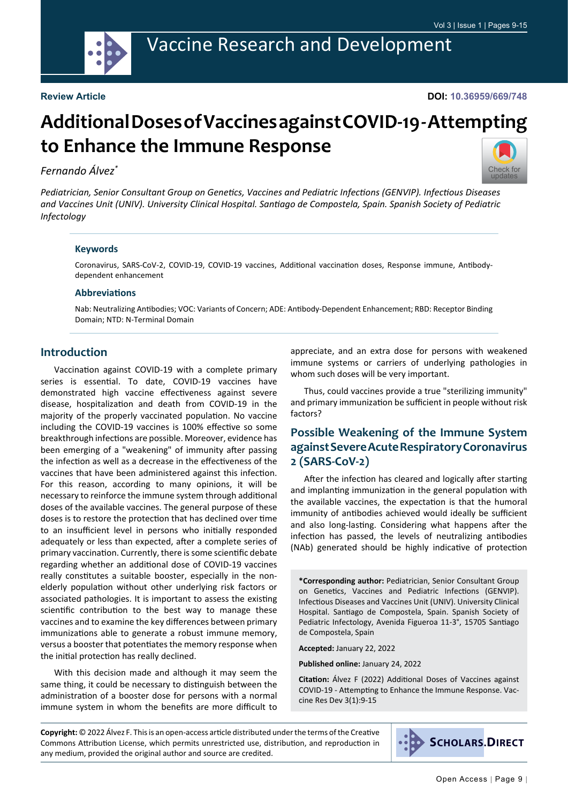

## Vaccine Research and Development

#### **Review Article**

**DOI: 10.36959/669/748**

# **Additional Doses of Vaccines against COVID-19 - Attempting to Enhance the Immune Response**

#### *Fernando Álvez\**



*Pediatrician, Senior Consultant Group on Genetics, Vaccines and Pediatric Infections (GENVIP). Infectious Diseases and Vaccines Unit (UNIV). University Clinical Hospital. Santiago de Compostela, Spain. Spanish Society of Pediatric Infectology*

#### **Keywords**

Coronavirus, SARS-CoV-2, COVID-19, COVID-19 vaccines, Additional vaccination doses, Response immune, Antibodydependent enhancement

#### **Abbreviations**

Nab: Neutralizing Antibodies; VOC: Variants of Concern; ADE: Antibody-Dependent Enhancement; RBD: Receptor Binding Domain; NTD: N-Terminal Domain

#### **Introduction**

Vaccination against COVID-19 with a complete primary series is essential. To date, COVID-19 vaccines have demonstrated high vaccine effectiveness against severe disease, hospitalization and death from COVID-19 in the majority of the properly vaccinated population. No vaccine including the COVID-19 vaccines is 100% effective so some breakthrough infections are possible. Moreover, evidence has been emerging of a "weakening" of immunity after passing the infection as well as a decrease in the effectiveness of the vaccines that have been administered against this infection. For this reason, according to many opinions, it will be necessary to reinforce the immune system through additional doses of the available vaccines. The general purpose of these doses is to restore the protection that has declined over time to an insufficient level in persons who initially responded adequately or less than expected, after a complete series of primary vaccination. Currently, there is some scientific debate regarding whether an additional dose of COVID-19 vaccines really constitutes a suitable booster, especially in the nonelderly population without other underlying risk factors or associated pathologies. It is important to assess the existing scientific contribution to the best way to manage these vaccines and to examine the key differences between primary immunizations able to generate a robust immune memory, versus a booster that potentiates the memory response when the initial protection has really declined.

With this decision made and although it may seem the same thing, it could be necessary to distinguish between the administration of a booster dose for persons with a normal immune system in whom the benefits are more difficult to

appreciate, and an extra dose for persons with weakened immune systems or carriers of underlying pathologies in whom such doses will be very important.

Thus, could vaccines provide a true "sterilizing immunity" and primary immunization be sufficient in people without risk factors?

### **Possible Weakening of the Immune System against Severe Acute Respiratory Coronavirus 2 (SARS-CoV-2)**

After the infection has cleared and logically after starting and implanting immunization in the general population with the available vaccines, the expectation is that the humoral immunity of antibodies achieved would ideally be sufficient and also long-lasting. Considering what happens after the infection has passed, the levels of neutralizing antibodies (NAb) generated should be highly indicative of protection

**\*Corresponding author:** Pediatrician, Senior Consultant Group on Genetics, Vaccines and Pediatric Infections (GENVIP). Infectious Diseases and Vaccines Unit (UNIV). University Clinical Hospital. Santiago de Compostela, Spain. Spanish Society of Pediatric Infectology, Avenida Figueroa 11-3°, 15705 Santiago de Compostela, Spain

**Accepted:** January 22, 2022

**Published online:** January 24, 2022

**Citation:** Álvez F (2022) Additional Doses of Vaccines against COVID-19 - Attempting to Enhance the Immune Response. Vaccine Res Dev 3(1):9-15

**Copyright:** © 2022 Álvez F. This is an open-access article distributed under the terms of the Creative Commons Attribution License, which permits unrestricted use, distribution, and reproduction in any medium, provided the original author and source are credited.

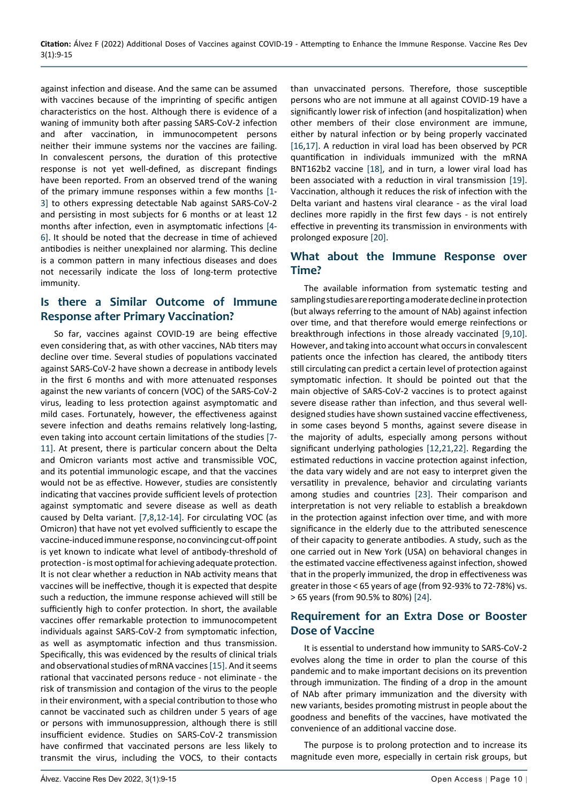against infection and disease. And the same can be assumed with vaccines because of the imprinting of specific antigen characteristics on the host. Although there is evidence of a waning of immunity both after passing SARS-CoV-2 infection and after vaccination, in immunocompetent persons neither their immune systems nor the vaccines are failing. In convalescent persons, the duration of this protective response is not yet well-defined, as discrepant findings have been reported. From an observed trend of the waning of the primary immune responses within a few months [\[1](#page-4-3)- [3\]](#page-4-4) to others expressing detectable Nab against SARS-CoV-2 and persisting in most subjects for 6 months or at least 12 months after infection, even in asymptomatic infections [\[4](#page-4-5)- [6\]](#page-4-6). It should be noted that the decrease in time of achieved antibodies is neither unexplained nor alarming. This decline is a common pattern in many infectious diseases and does not necessarily indicate the loss of long-term protective immunity.

#### **Is there a Similar Outcome of Immune Response after Primary Vaccination?**

So far, vaccines against COVID-19 are being effective even considering that, as with other vaccines, NAb titers may decline over time. Several studies of populations vaccinated against SARS-CoV-2 have shown a decrease in antibody levels in the first 6 months and with more attenuated responses against the new variants of concern (VOC) of the SARS-CoV-2 virus, leading to less protection against asymptomatic and mild cases. Fortunately, however, the effectiveness against severe infection and deaths remains relatively long-lasting, even taking into account certain limitations of the studies [\[7](#page-4-7)- [11\]](#page-4-8). At present, there is particular concern about the Delta and Omicron variants most active and transmissible VOC, and its potential immunologic escape, and that the vaccines would not be as effective. However, studies are consistently indicating that vaccines provide sufficient levels of protection against symptomatic and severe disease as well as death caused by Delta variant. [\[7](#page-4-7),[8,](#page-4-9)[12](#page-4-2)-[14](#page-5-9)]. For circulating VOC (as Omicron) that have not yet evolved sufficiently to escape the vaccine-induced immune response, no convincing cut-off point is yet known to indicate what level of antibody-threshold of protection - is most optimal for achieving adequate protection. It is not clear whether a reduction in NAb activity means that vaccines will be ineffective, though it is expected that despite such a reduction, the immune response achieved will still be sufficiently high to confer protection. In short, the available vaccines offer remarkable protection to immunocompetent individuals against SARS-CoV-2 from symptomatic infection, as well as asymptomatic infection and thus transmission. Specifically, this was evidenced by the results of clinical trials and observational studies of mRNA vaccines [[15\]](#page-5-10). And it seems rational that vaccinated persons reduce - not eliminate - the risk of transmission and contagion of the virus to the people in their environment, with a special contribution to those who cannot be vaccinated such as children under 5 years of age or persons with immunosuppression, although there is still insufficient evidence. Studies on SARS-CoV-2 transmission have confirmed that vaccinated persons are less likely to transmit the virus, including the VOCS, to their contacts

than unvaccinated persons. Therefore, those susceptible persons who are not immune at all against COVID-19 have a significantly lower risk of infection (and hospitalization) when other members of their close environment are immune, either by natural infection or by being properly vaccinated [[16](#page-5-0)[,17\]](#page-5-1). A reduction in viral load has been observed by PCR quantification in individuals immunized with the mRNA BNT162b2 vaccine [[18\]](#page-5-2), and in turn, a lower viral load has been associated with a reduction in viral transmission [\[19](#page-5-3)]. Vaccination, although it reduces the risk of infection with the Delta variant and hastens viral clearance - as the viral load declines more rapidly in the first few days - is not entirely effective in preventing its transmission in environments with prolonged exposure [[20\]](#page-5-4).

#### **What about the Immune Response over Time?**

The available information from systematic testing and sampling studies are reporting a moderate decline in protection (but always referring to the amount of NAb) against infection over time, and that therefore would emerge reinfections or breakthrough infections in those already vaccinated [\[9,](#page-4-0)[10](#page-4-1)]. However, and taking into account what occurs in convalescent patients once the infection has cleared, the antibody titers still circulating can predict a certain level of protection against symptomatic infection. It should be pointed out that the main objective of SARS-CoV-2 vaccines is to protect against severe disease rather than infection, and thus several welldesigned studies have shown sustained vaccine effectiveness, in some cases beyond 5 months, against severe disease in the majority of adults, especially among persons without significant underlying pathologies [\[12](#page-4-2),[21](#page-5-5),[22\]](#page-5-6). Regarding the estimated reductions in vaccine protection against infection, the data vary widely and are not easy to interpret given the versatility in prevalence, behavior and circulating variants among studies and countries [\[23](#page-5-7)]. Their comparison and interpretation is not very reliable to establish a breakdown in the protection against infection over time, and with more significance in the elderly due to the attributed senescence of their capacity to generate antibodies. A study, such as the one carried out in New York (USA) on behavioral changes in the estimated vaccine effectiveness against infection, showed that in the properly immunized, the drop in effectiveness was greater in those < 65 years of age (from 92-93% to 72-78%) vs. > 65 years (from 90.5% to 80%) [\[24](#page-5-8)].

#### **Requirement for an Extra Dose or Booster Dose of Vaccine**

It is essential to understand how immunity to SARS-CoV-2 evolves along the time in order to plan the course of this pandemic and to make important decisions on its prevention through immunization. The finding of a drop in the amount of NAb after primary immunization and the diversity with new variants, besides promoting mistrust in people about the goodness and benefits of the vaccines, have motivated the convenience of an additional vaccine dose.

The purpose is to prolong protection and to increase its magnitude even more, especially in certain risk groups, but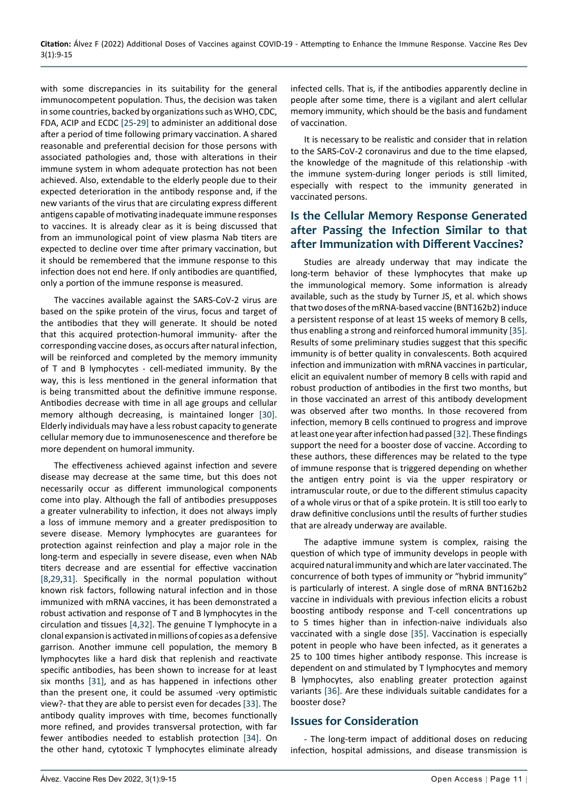with some discrepancies in its suitability for the general immunocompetent population. Thus, the decision was taken in some countries, backed by organizations such as WHO, CDC, FDA, ACIP and ECDC [[25](#page-5-14)-[29](#page-5-15)] to administer an additional dose after a period of time following primary vaccination. A shared reasonable and preferential decision for those persons with associated pathologies and, those with alterations in their immune system in whom adequate protection has not been achieved. Also, extendable to the elderly people due to their expected deterioration in the antibody response and, if the new variants of the virus that are circulating express different antigens capable of motivating inadequate immune responses to vaccines. It is already clear as it is being discussed that from an immunological point of view plasma Nab titers are expected to decline over time after primary vaccination, but it should be remembered that the immune response to this infection does not end here. If only antibodies are quantified, only a portion of the immune response is measured.

The vaccines available against the SARS-CoV-2 virus are based on the spike protein of the virus, focus and target of the antibodies that they will generate. It should be noted that this acquired protection-humoral immunity- after the corresponding vaccine doses, as occurs after natural infection, will be reinforced and completed by the memory immunity of T and B lymphocytes - cell-mediated immunity. By the way, this is less mentioned in the general information that is being transmitted about the definitive immune response. Antibodies decrease with time in all age groups and cellular memory although decreasing, is maintained longer [[30\]](#page-5-16). Elderly individuals may have a less robust capacity to generate cellular memory due to immunosenescence and therefore be more dependent on humoral immunity.

The effectiveness achieved against infection and severe disease may decrease at the same time, but this does not necessarily occur as different immunological components come into play. Although the fall of antibodies presupposes a greater vulnerability to infection, it does not always imply a loss of immune memory and a greater predisposition to severe disease. Memory lymphocytes are guarantees for protection against reinfection and play a major role in the long-term and especially in severe disease, even when NAb titers decrease and are essential for effective vaccination [[8,](#page-4-9)[29](#page-5-15),[31\]](#page-5-17). Specifically in the normal population without known risk factors, following natural infection and in those immunized with mRNA vaccines, it has been demonstrated a robust activation and response of T and B lymphocytes in the circulation and tissues [[4](#page-4-5)[,32\]](#page-5-12). The genuine T lymphocyte in a clonal expansion is activated in millions of copies as a defensive garrison. Another immune cell population, the memory B lymphocytes like a hard disk that replenish and reactivate specific antibodies, has been shown to increase for at least six months [[31\]](#page-5-17), and as has happened in infections other than the present one, it could be assumed -very optimistic view?- that they are able to persist even for decades [[33\]](#page-5-18). The antibody quality improves with time, becomes functionally more refined, and provides transversal protection, with far fewer antibodies needed to establish protection [\[34](#page-5-19)]. On the other hand, cytotoxic T lymphocytes eliminate already

infected cells. That is, if the antibodies apparently decline in people after some time, there is a vigilant and alert cellular memory immunity, which should be the basis and fundament of vaccination.

It is necessary to be realistic and consider that in relation to the SARS-CoV-2 coronavirus and due to the time elapsed, the knowledge of the magnitude of this relationship -with the immune system-during longer periods is still limited, especially with respect to the immunity generated in vaccinated persons.

## **Is the Cellular Memory Response Generated after Passing the Infection Similar to that after Immunization with Different Vaccines?**

Studies are already underway that may indicate the long-term behavior of these lymphocytes that make up the immunological memory. Some information is already available, such as the study by Turner JS, et al. which shows that two doses of the mRNA-based vaccine (BNT162b2) induce a persistent response of at least 15 weeks of memory B cells, thus enabling a strong and reinforced humoral immunity [\[35](#page-5-11)]. Results of some preliminary studies suggest that this specific immunity is of better quality in convalescents. Both acquired infection and immunization with mRNA vaccines in particular, elicit an equivalent number of memory B cells with rapid and robust production of antibodies in the first two months, but in those vaccinated an arrest of this antibody development was observed after two months. In those recovered from infection, memory B cells continued to progress and improve at least one year after infection had passed [\[32](#page-5-12)]. These findings support the need for a booster dose of vaccine. According to these authors, these differences may be related to the type of immune response that is triggered depending on whether the antigen entry point is via the upper respiratory or intramuscular route, or due to the different stimulus capacity of a whole virus or that of a spike protein. It is still too early to draw definitive conclusions until the results of further studies that are already underway are available.

The adaptive immune system is complex, raising the question of which type of immunity develops in people with acquired natural immunity and which are later vaccinated. The concurrence of both types of immunity or "hybrid immunity" is particularly of interest. A single dose of mRNA BNT162b2 vaccine in individuals with previous infection elicits a robust boosting antibody response and T-cell concentrations up to 5 times higher than in infection-naive individuals also vaccinated with a single dose [[35](#page-5-11)]. Vaccination is especially potent in people who have been infected, as it generates a 25 to 100 times higher antibody response. This increase is dependent on and stimulated by T lymphocytes and memory B lymphocytes, also enabling greater protection against variants [\[36](#page-5-13)]. Are these individuals suitable candidates for a booster dose?

#### **Issues for Consideration**

- The long-term impact of additional doses on reducing infection, hospital admissions, and disease transmission is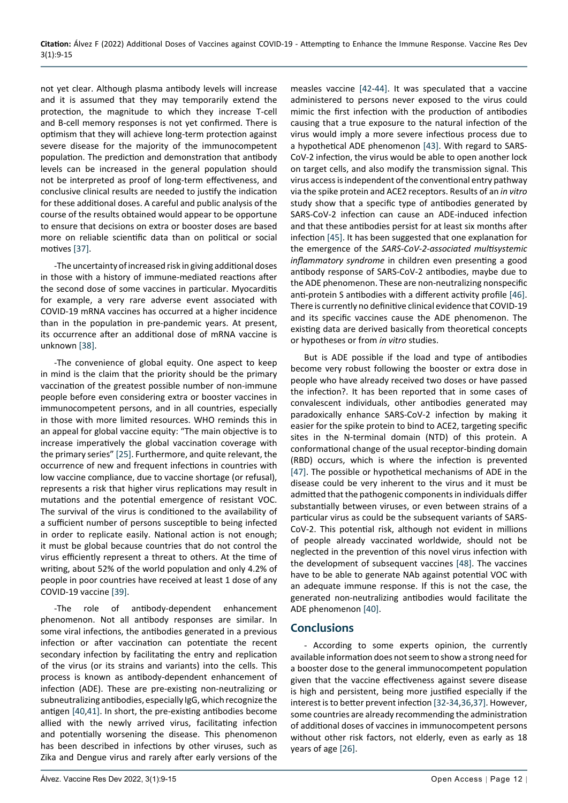not yet clear. Although plasma antibody levels will increase and it is assumed that they may temporarily extend the protection, the magnitude to which they increase T-cell and B-cell memory responses is not yet confirmed. There is optimism that they will achieve long-term protection against severe disease for the majority of the immunocompetent population. The prediction and demonstration that antibody levels can be increased in the general population should not be interpreted as proof of long-term effectiveness, and conclusive clinical results are needed to justify the indication for these additional doses. A careful and public analysis of the course of the results obtained would appear to be opportune to ensure that decisions on extra or booster doses are based more on reliable scientific data than on political or social motives [\[37](#page-5-23)].

-The uncertainty of increased risk in giving additional doses in those with a history of immune-mediated reactions after the second dose of some vaccines in particular. Myocarditis for example, a very rare adverse event associated with COVID-19 mRNA vaccines has occurred at a higher incidence than in the population in pre-pandemic years. At present, its occurrence after an additional dose of mRNA vaccine is unknown [[38\]](#page-5-25).

-The convenience of global equity. One aspect to keep in mind is the claim that the priority should be the primary vaccination of the greatest possible number of non-immune people before even considering extra or booster vaccines in immunocompetent persons, and in all countries, especially in those with more limited resources. WHO reminds this in an appeal for global vaccine equity: "The main objective is to increase imperatively the global vaccination coverage with the primary series" [\[25\]](#page-5-14). Furthermore, and quite relevant, the occurrence of new and frequent infections in countries with low vaccine compliance, due to vaccine shortage (or refusal), represents a risk that higher virus replications may result in mutations and the potential emergence of resistant VOC. The survival of the virus is conditioned to the availability of a sufficient number of persons susceptible to being infected in order to replicate easily. National action is not enough; it must be global because countries that do not control the virus efficiently represent a threat to others. At the time of writing, about 52% of the world population and only 4.2% of people in poor countries have received at least 1 dose of any COVID-19 vaccine [[39](#page-5-26)].

-The role of antibody-dependent enhancement phenomenon. Not all antibody responses are similar. In some viral infections, the antibodies generated in a previous infection or after vaccination can potentiate the recent secondary infection by facilitating the entry and replication of the virus (or its strains and variants) into the cells. This process is known as antibody-dependent enhancement of infection (ADE). These are pre-existing non-neutralizing or subneutralizing antibodies, especially IgG, which recognize the antigen [[40](#page-5-22)[,41](#page-5-27)]. In short, the pre-existing antibodies become allied with the newly arrived virus, facilitating infection and potentially worsening the disease. This phenomenon has been described in infections by other viruses, such as Zika and Dengue virus and rarely after early versions of the

measles vaccine [[42-](#page-5-20)[44](#page-6-0)]. It was speculated that a vaccine administered to persons never exposed to the virus could mimic the first infection with the production of antibodies causing that a true exposure to the natural infection of the virus would imply a more severe infectious process due to a hypothetical ADE phenomenon [[43\]](#page-5-21). With regard to SARS-CoV-2 infection, the virus would be able to open another lock on target cells, and also modify the transmission signal. This virus access is independent of the conventional entry pathway via the spike protein and ACE2 receptors. Results of an *in vitro* study show that a specific type of antibodies generated by SARS-CoV-2 infection can cause an ADE-induced infection and that these antibodies persist for at least six months after infection [[45](#page-6-1)]. It has been suggested that one explanation for the emergence of the *SARS-CoV-2-associated multisystemic inflammatory syndrome* in children even presenting a good antibody response of SARS-CoV-2 antibodies, maybe due to the ADE phenomenon. These are non-neutralizing nonspecific anti-protein S antibodies with a different activity profile [\[46](#page-6-2)]. There is currently no definitive clinical evidence that COVID-19 and its specific vaccines cause the ADE phenomenon. The existing data are derived basically from theoretical concepts or hypotheses or from *in vitro* studies.

But is ADE possible if the load and type of antibodies become very robust following the booster or extra dose in people who have already received two doses or have passed the infection?. It has been reported that in some cases of convalescent individuals, other antibodies generated may paradoxically enhance SARS-CoV-2 infection by making it easier for the spike protein to bind to ACE2, targeting specific sites in the N-terminal domain (NTD) of this protein. A conformational change of the usual receptor-binding domain (RBD) occurs, which is where the infection is prevented [[47\]](#page-6-3). The possible or hypothetical mechanisms of ADE in the disease could be very inherent to the virus and it must be admitted that the pathogenic components in individuals differ substantially between viruses, or even between strains of a particular virus as could be the subsequent variants of SARS-CoV-2. This potential risk, although not evident in millions of people already vaccinated worldwide, should not be neglected in the prevention of this novel virus infection with the development of subsequent vaccines [\[48](#page-6-4)]. The vaccines have to be able to generate NAb against potential VOC with an adequate immune response. If this is not the case, the generated non-neutralizing antibodies would facilitate the ADE phenomenon [[40](#page-5-22)].

#### **Conclusions**

- According to some experts opinion, the currently available information does not seem to show a strong need for a booster dose to the general immunocompetent population given that the vaccine effectiveness against severe disease is high and persistent, being more justified especially if the interest is to better prevent infection [[32-](#page-5-12)[34](#page-5-19),[36,](#page-5-13)[37](#page-5-23)]. However, some countries are already recommending the administration of additional doses of vaccines in immunocompetent persons without other risk factors, not elderly, even as early as 18 years of age [\[26](#page-5-24)].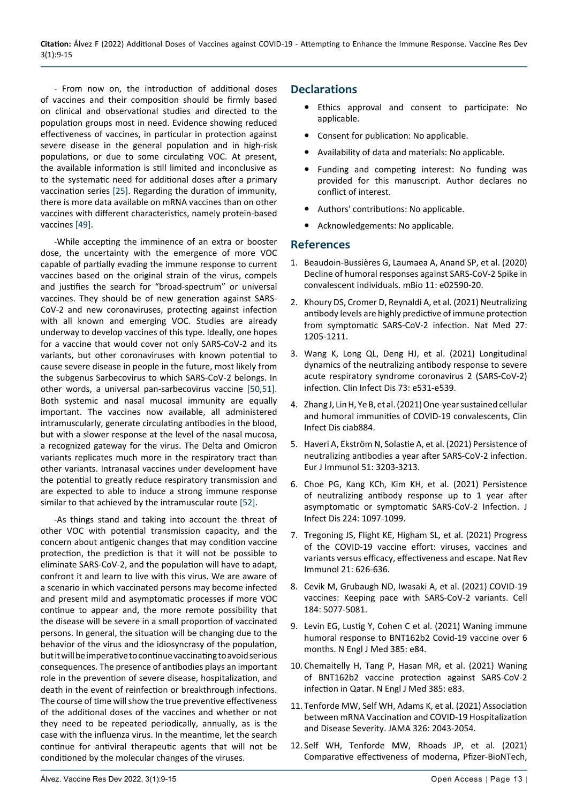- From now on, the introduction of additional doses of vaccines and their composition should be firmly based on clinical and observational studies and directed to the population groups most in need. Evidence showing reduced effectiveness of vaccines, in particular in protection against severe disease in the general population and in high-risk populations, or due to some circulating VOC. At present, the available information is still limited and inconclusive as to the systematic need for additional doses after a primary vaccination series [\[25](#page-5-14)]. Regarding the duration of immunity, there is more data available on mRNA vaccines than on other vaccines with different characteristics, namely protein-based vaccines [\[49](#page-6-5)].

-While accepting the imminence of an extra or booster dose, the uncertainty with the emergence of more VOC capable of partially evading the immune response to current vaccines based on the original strain of the virus, compels and justifies the search for "broad-spectrum" or universal vaccines. They should be of new generation against SARS-CoV-2 and new coronaviruses, protecting against infection with all known and emerging VOC. Studies are already underway to develop vaccines of this type. Ideally, one hopes for a vaccine that would cover not only SARS-CoV-2 and its variants, but other coronaviruses with known potential to cause severe disease in people in the future, most likely from the subgenus Sarbecovirus to which SARS-CoV-2 belongs. In other words, a universal pan-sarbecovirus vaccine [\[50](#page-6-6),[51\]](#page-6-7). Both systemic and nasal mucosal immunity are equally important. The vaccines now available, all administered intramuscularly, generate circulating antibodies in the blood, but with a slower response at the level of the nasal mucosa, a recognized gateway for the virus. The Delta and Omicron variants replicates much more in the respiratory tract than other variants. Intranasal vaccines under development have the potential to greatly reduce respiratory transmission and are expected to able to induce a strong immune response similar to that achieved by the intramuscular route [\[52\]](#page-6-8).

-As things stand and taking into account the threat of other VOC with potential transmission capacity, and the concern about antigenic changes that may condition vaccine protection, the prediction is that it will not be possible to eliminate SARS-CoV-2, and the population will have to adapt, confront it and learn to live with this virus. We are aware of a scenario in which vaccinated persons may become infected and present mild and asymptomatic processes if more VOC continue to appear and, the more remote possibility that the disease will be severe in a small proportion of vaccinated persons. In general, the situation will be changing due to the behavior of the virus and the idiosyncrasy of the population, but it will be imperative to continue vaccinating to avoid serious consequences. The presence of antibodies plays an important role in the prevention of severe disease, hospitalization, and death in the event of reinfection or breakthrough infections. The course of time will show the true preventive effectiveness of the additional doses of the vaccines and whether or not they need to be repeated periodically, annually, as is the case with the influenza virus. In the meantime, let the search continue for antiviral therapeutic agents that will not be conditioned by the molecular changes of the viruses.

### **Declarations**

- **•**  Ethics approval and consent to participate: No applicable.
- **•**  Consent for publication: No applicable.
- **•**  Availability of data and materials: No applicable.
- Funding and competing interest: No funding was provided for this manuscript. Author declares no conflict of interest.
- **•**  Authors' contributions: No applicable.
- **•**  Acknowledgements: No applicable.

#### **References**

- <span id="page-4-3"></span>1. [Beaudoin-Bussières G, Laumaea A, Anand SP, et al. \(2020\)](https://pubmed.ncbi.nlm.nih.gov/33067385/)  [Decline of humoral responses against SARS-CoV-2 Spike in](https://pubmed.ncbi.nlm.nih.gov/33067385/)  [convalescent individuals. mBio 11: e02590-20.](https://pubmed.ncbi.nlm.nih.gov/33067385/)
- 2. [Khoury DS, Cromer D, Reynaldi A, et al. \(2021\) Neutralizing](https://pubmed.ncbi.nlm.nih.gov/34002089/)  [antibody levels are highly predictive of immune protection](https://pubmed.ncbi.nlm.nih.gov/34002089/)  [from symptomatic SARS-CoV-2 infection. Nat Med 27:](https://pubmed.ncbi.nlm.nih.gov/34002089/)  [1205-1211.](https://pubmed.ncbi.nlm.nih.gov/34002089/)
- <span id="page-4-4"></span>3. [Wang K, Long QL, Deng HJ, et al. \(2021\) Longitudinal](https://pubmed.ncbi.nlm.nih.gov/32745196/)  [dynamics of the neutralizing antibody response to severe](https://pubmed.ncbi.nlm.nih.gov/32745196/)  [acute respiratory syndrome coronavirus 2 \(SARS-CoV-2\)](https://pubmed.ncbi.nlm.nih.gov/32745196/)  [infection. Clin Infect Dis 73: e531-e539.](https://pubmed.ncbi.nlm.nih.gov/32745196/)
- <span id="page-4-5"></span>4. [Zhang J, Lin H, Ye B, et al. \(2021\) One-year sustained cellular](https://pubmed.ncbi.nlm.nih.gov/34609506/)  [and humoral immunities of COVID-19 convalescents,](https://pubmed.ncbi.nlm.nih.gov/34609506/) Clin [Infect Dis ciab884](https://pubmed.ncbi.nlm.nih.gov/34609506/).
- 5. [Haveri A, Ekström N, Solastie A, et al. \(2021\) Persistence of](https://pubmed.ncbi.nlm.nih.gov/34580856/)  [neutralizing antibodies a year after SARS-CoV-2 infection.](https://pubmed.ncbi.nlm.nih.gov/34580856/)  [Eur J Immunol 51: 3203-3213.](https://pubmed.ncbi.nlm.nih.gov/34580856/)
- <span id="page-4-6"></span>6. [Choe PG, Kang KCh, Kim KH, et al. \(2021\) Persistence](https://pubmed.ncbi.nlm.nih.gov/34166506/)  [of neutralizing antibody response up to 1 year after](https://pubmed.ncbi.nlm.nih.gov/34166506/)  [asymptomatic or symptomatic SARS-CoV-2 Infection.](https://pubmed.ncbi.nlm.nih.gov/34166506/) J [Infect Dis 224: 1097-1099.](https://pubmed.ncbi.nlm.nih.gov/34166506/)
- <span id="page-4-7"></span>7. [Tregoning JS, Flight KE, Higham SL, et al. \(2021\) Progress](https://pubmed.ncbi.nlm.nih.gov/34373623/)  [of the COVID-19 vaccine effort: viruses, vaccines and](https://pubmed.ncbi.nlm.nih.gov/34373623/)  [variants versus efficacy, effectiveness and escape.](https://pubmed.ncbi.nlm.nih.gov/34373623/) Nat Rev [Immunol 21: 626-636.](https://pubmed.ncbi.nlm.nih.gov/34373623/)
- <span id="page-4-9"></span>8. [Cevik M, Grubaugh ND, Iwasaki A, et al. \(2021\) COVID-19](https://pubmed.ncbi.nlm.nih.gov/34534444/)  [vaccines: Keeping pace with SARS-CoV-2 variants. Cell](https://pubmed.ncbi.nlm.nih.gov/34534444/)  [184: 5077-5081.](https://pubmed.ncbi.nlm.nih.gov/34534444/)
- <span id="page-4-0"></span>9. [Levin EG, Lustig Y, Cohen C et al. \(2021\) Waning immune](https://pubmed.ncbi.nlm.nih.gov/34614326/)  [humoral response to BNT162b2 Covid-19 vaccine over 6](https://pubmed.ncbi.nlm.nih.gov/34614326/)  months. [N Engl J Med 385: e84.](https://pubmed.ncbi.nlm.nih.gov/34614326/)
- <span id="page-4-1"></span>10. [Chemaitelly H, Tang P, Hasan MR, et al. \(2021\) Waning](https://www.nejm.org/doi/full/10.1056/NEJMoa2114114)  [of BNT162b2 vaccine protection against SARS-CoV-2](https://www.nejm.org/doi/full/10.1056/NEJMoa2114114)  [infection in Qatar. N Engl J Med 385: e83.](https://www.nejm.org/doi/full/10.1056/NEJMoa2114114)
- <span id="page-4-8"></span>11. [Tenforde MW, Self WH, Adams K, et al. \(2021\) Association](https://pubmed.ncbi.nlm.nih.gov/34734975/)  [between mRNA Vaccination and COVID-19 Hospitalization](https://pubmed.ncbi.nlm.nih.gov/34734975/)  and Disease Severity. [JAMA 326: 2043-2054.](https://pubmed.ncbi.nlm.nih.gov/34734975/)
- <span id="page-4-2"></span>12. [Self WH, Tenforde MW, Rhoads JP, et al. \(2021\)](https://www.cdc.gov/mmwr/volumes/70/wr/mm7038e1.htm)  [Comparative effectiveness of moderna, Pfizer-BioNTech,](https://www.cdc.gov/mmwr/volumes/70/wr/mm7038e1.htm)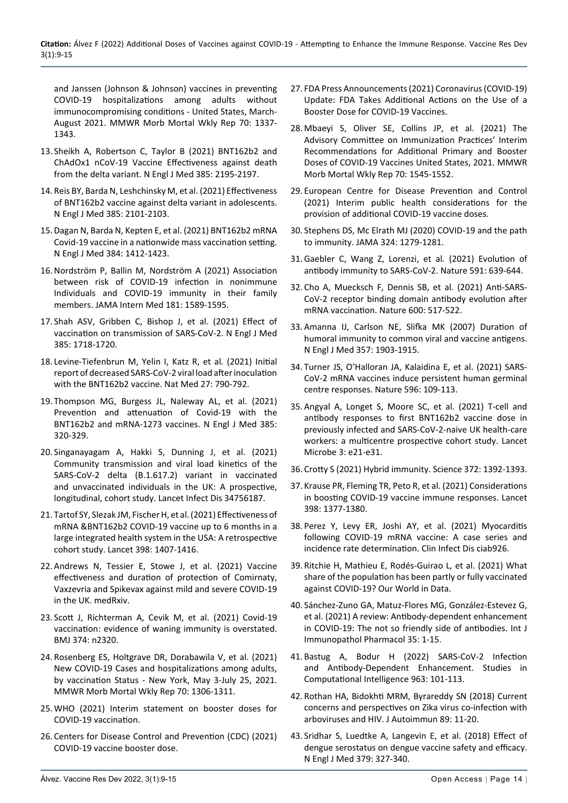[and Janssen \(Johnson & Johnson\) vaccines in preventing](https://www.cdc.gov/mmwr/volumes/70/wr/mm7038e1.htm)  [COVID-19 hospitalizations among adults without](https://www.cdc.gov/mmwr/volumes/70/wr/mm7038e1.htm)  [immunocompromising conditions - United States, March-](https://www.cdc.gov/mmwr/volumes/70/wr/mm7038e1.htm)[August 2021. MMWR Morb Mortal Wkly Rep 70: 1337-](https://www.cdc.gov/mmwr/volumes/70/wr/mm7038e1.htm) [1343.](https://www.cdc.gov/mmwr/volumes/70/wr/mm7038e1.htm)

- 13. [Sheikh A, Robertson C, Taylor B \(2021\) BNT162b2 and](https://www.nejm.org/doi/full/10.1056/NEJMc2113864)  [ChAdOx1 nCoV-19 Vaccine Effectiveness against death](https://www.nejm.org/doi/full/10.1056/NEJMc2113864)  [from the delta variant. N Engl J Med 385: 2195-2197.](https://www.nejm.org/doi/full/10.1056/NEJMc2113864)
- <span id="page-5-9"></span>14. [Reis BY, Barda N, Leshchinsky M, et al. \(2021\) Effectiveness](https://www.nejm.org/doi/full/10.1056/NEJMc2114290)  [of BNT162b2 vaccine against delta variant in adolescents.](https://www.nejm.org/doi/full/10.1056/NEJMc2114290)  N Engl J Med [385: 2101-2103.](https://www.nejm.org/doi/full/10.1056/NEJMc2114290)
- <span id="page-5-10"></span>15.[Dagan N, Barda N, Kepten E, et al. \(2021\) BNT162b2 mRNA](https://www.nejm.org/doi/full/10.1056/nejmoa2101765#:~:text=Conclusions,that of the randomized trial.)  [Covid-19 vaccine in a nationwide mass vaccination setting.](https://www.nejm.org/doi/full/10.1056/nejmoa2101765#:~:text=Conclusions,that of the randomized trial.)  [N Engl J Med 384: 1412-1423.](https://www.nejm.org/doi/full/10.1056/nejmoa2101765#:~:text=Conclusions,that of the randomized trial.)
- <span id="page-5-0"></span>16.[Nordström P, Ballin M, Nordström A \(2021\) Association](https://pubmed.ncbi.nlm.nih.gov/34633407/#:~:text=Nonimmune families with 1 immune,0.11%2D0.27%3B P %3C .)  [between risk of COVID-19 infection in nonimmune](https://pubmed.ncbi.nlm.nih.gov/34633407/#:~:text=Nonimmune families with 1 immune,0.11%2D0.27%3B P %3C .)  [Individuals and COVID-19 immunity in their family](https://pubmed.ncbi.nlm.nih.gov/34633407/#:~:text=Nonimmune families with 1 immune,0.11%2D0.27%3B P %3C .)  members. [JAMA Intern Med](https://pubmed.ncbi.nlm.nih.gov/34633407/#:~:text=Nonimmune families with 1 immune,0.11%2D0.27%3B P %3C .) 181: 1589-1595.
- <span id="page-5-1"></span>17. [Shah ASV, Gribben C, Bishop J, et al. \(2021\) Effect of](https://www.nejm.org/doi/full/10.1056/nejmc2106757)  [vaccination on transmission of SARS-CoV-2. N Engl J Med](https://www.nejm.org/doi/full/10.1056/nejmc2106757)  [385: 1718-1720.](https://www.nejm.org/doi/full/10.1056/nejmc2106757)
- <span id="page-5-2"></span>18. [Levine-Tiefenbrun M, Yelin I, Katz R, et al](https://search.bvsalud.org/global-literature-on-novel-coronavirus-2019-ncov/resource/en/covidwho-1157912)*.* (2021) Initial [report of decreased SARS-CoV-2 viral load after inoculation](https://search.bvsalud.org/global-literature-on-novel-coronavirus-2019-ncov/resource/en/covidwho-1157912)  [with the BNT162b2 vaccine. Nat Med 27: 790-792.](https://search.bvsalud.org/global-literature-on-novel-coronavirus-2019-ncov/resource/en/covidwho-1157912)
- <span id="page-5-3"></span>19. [Thompson MG, Burgess JL, Naleway AL, et al. \(2021\)](https://www.nejm.org/doi/full/10.1056/nejmoa2107058)  [Prevention and attenuation of Covid-19 with the](https://www.nejm.org/doi/full/10.1056/nejmoa2107058)  [BNT162b2 and mRNA-1273 vaccines. N Engl J Med 385:](https://www.nejm.org/doi/full/10.1056/nejmoa2107058)  [320-329.](https://www.nejm.org/doi/full/10.1056/nejmoa2107058)
- <span id="page-5-4"></span>20. [Singanayagam A, Hakki S, Dunning J, et al. \(2021\)](https://www.thelancet.com/journals/laninf/article/PIIS1473-3099(21)00648-4/fulltext)  [Community transmission and viral load kinetics of the](https://www.thelancet.com/journals/laninf/article/PIIS1473-3099(21)00648-4/fulltext)  [SARS-CoV-2 delta \(B.1.617.2\) variant in vaccinated](https://www.thelancet.com/journals/laninf/article/PIIS1473-3099(21)00648-4/fulltext)  [and unvaccinated individuals in the UK: A prospective,](https://www.thelancet.com/journals/laninf/article/PIIS1473-3099(21)00648-4/fulltext)  [longitudinal, cohort study. Lancet Infect Dis 34756187](https://www.thelancet.com/journals/laninf/article/PIIS1473-3099(21)00648-4/fulltext).
- <span id="page-5-5"></span>21. [Tartof SY, Slezak JM, Fischer H, et al. \(2021\) Effectiveness of](https://pubmed.ncbi.nlm.nih.gov/34619098/)  [mRNA &BNT162b2 COVID-19 vaccine up to 6 months in a](https://pubmed.ncbi.nlm.nih.gov/34619098/)  [large integrated health system in the USA: A retrospective](https://pubmed.ncbi.nlm.nih.gov/34619098/)  cohort study. [Lancet 398: 1407-1416.](https://pubmed.ncbi.nlm.nih.gov/34619098/)
- <span id="page-5-6"></span>22. [Andrews N, Tessier E, Stowe J, et al. \(2021\) Vaccine](https://www.medrxiv.org/content/10.1101/2021.09.15.21263583v1)  [effectiveness and duration of protection of Comirnaty,](https://www.medrxiv.org/content/10.1101/2021.09.15.21263583v1)  [Vaxzevria and Spikevax against mild and severe COVID-19](https://www.medrxiv.org/content/10.1101/2021.09.15.21263583v1)  [in the UK. medRxiv.](https://www.medrxiv.org/content/10.1101/2021.09.15.21263583v1)
- <span id="page-5-7"></span>23. [Scott J, Richterman A, Cevik M, et al. \(2021\) Covid-19](https://www.bmj.com/content/374/bmj.n2320)  [vaccination: evidence of waning immunity is overstated.](https://www.bmj.com/content/374/bmj.n2320)  [BMJ 374: n2320.](https://www.bmj.com/content/374/bmj.n2320)
- <span id="page-5-8"></span>24. [Rosenberg ES, Holtgrave DR, Dorabawila V, et al. \(2021\)](https://www.cdc.gov/mmwr/volumes/70/wr/mm7037a7.htm)  [New COVID-19 Cases and hospitalizations among adults,](https://www.cdc.gov/mmwr/volumes/70/wr/mm7037a7.htm)  [by vaccination Status - New York, May 3-July 25, 2021.](https://www.cdc.gov/mmwr/volumes/70/wr/mm7037a7.htm)  [MMWR Morb Mortal Wkly Rep 70: 1306-1311.](https://www.cdc.gov/mmwr/volumes/70/wr/mm7037a7.htm)
- <span id="page-5-14"></span>25. [WHO \(2021\) Interim statement on booster doses for](https://www.who.int/news/item/04-10-2021-interim-statement-on-booster-doses-for-covid-19-vaccination)  [COVID-19 vaccination.](https://www.who.int/news/item/04-10-2021-interim-statement-on-booster-doses-for-covid-19-vaccination)
- <span id="page-5-24"></span>26. [Centers for Disease Control and Prevention \(CDC\) \(2021\)](https://www.cdc.gov/coronavirus/2019-ncov/vaccines/booster-shot.html)  [COVID-19 vaccine booster dose.](https://www.cdc.gov/coronavirus/2019-ncov/vaccines/booster-shot.html)
- 27. [FDA Press Announcements \(2021\) Coronavirus \(COVID-19\)](https://www.fda.gov/news-events/press-announcements/coronavirus-covid-19-update-fda-takes-additional-actions-use-booster-dose-covid-19-vaccines)  [Update: FDA Takes Additional Actions on the Use of a](https://www.fda.gov/news-events/press-announcements/coronavirus-covid-19-update-fda-takes-additional-actions-use-booster-dose-covid-19-vaccines)  [Booster Dose for COVID-19 Vaccines.](https://www.fda.gov/news-events/press-announcements/coronavirus-covid-19-update-fda-takes-additional-actions-use-booster-dose-covid-19-vaccines)
- 28. [Mbaeyi S, Oliver SE, Collins JP, et al. \(2021\) The](https://pubmed.ncbi.nlm.nih.gov/34735422/)  [Advisory Committee on Immunization Practices' Interim](https://pubmed.ncbi.nlm.nih.gov/34735422/)  [Recommendations for Additional Primary and Booster](https://pubmed.ncbi.nlm.nih.gov/34735422/)  [Doses of COVID-19 Vaccines United States, 2021. MMWR](https://pubmed.ncbi.nlm.nih.gov/34735422/)  [Morb Mortal Wkly Rep 70: 1545-1552.](https://pubmed.ncbi.nlm.nih.gov/34735422/)
- <span id="page-5-15"></span>29. [European Centre for Disease Prevention and Control](https://www.ecdc.europa.eu/en/publications-data/covid-19-public-health-considerations-additional-vaccine-doses)  [\(2021\) Interim public health considerations for the](https://www.ecdc.europa.eu/en/publications-data/covid-19-public-health-considerations-additional-vaccine-doses)  [provision of additional COVID-19 vaccine doses.](https://www.ecdc.europa.eu/en/publications-data/covid-19-public-health-considerations-additional-vaccine-doses)
- <span id="page-5-16"></span>30. [Stephens DS, Mc Elrath MJ \(2020\) COVID-19 and the path](https://pubmed.ncbi.nlm.nih.gov/32915201/)  [to immunity. JAMA 324: 1279-1281.](https://pubmed.ncbi.nlm.nih.gov/32915201/)
- <span id="page-5-17"></span>31.[Gaebler C, Wang Z, Lorenzi, et al](https://pubmed.ncbi.nlm.nih.gov/33461210/)*.* (2021) Evolution of [antibody immunity to SARS-CoV-2.](https://pubmed.ncbi.nlm.nih.gov/33461210/) Nature 591: 639-644.
- <span id="page-5-12"></span>32. [Cho A, Muecksch F, Dennis SB, et al](https://pubmed.ncbi.nlm.nih.gov/34619745/)*.* (2021) Anti-SARS-[CoV-2 receptor binding domain antibody evolution after](https://pubmed.ncbi.nlm.nih.gov/34619745/)  mRNA vaccination. [Nature 600: 517-522.](https://pubmed.ncbi.nlm.nih.gov/34619745/)
- <span id="page-5-18"></span>33. [Amanna IJ, Carlson NE, Slifka MK \(2007\) Duration of](https://pubmed.ncbi.nlm.nih.gov/17989383/)  [humoral immunity to common viral and vaccine antigens.](https://pubmed.ncbi.nlm.nih.gov/17989383/)  [N Engl J Med 357: 1903-1915.](https://pubmed.ncbi.nlm.nih.gov/17989383/)
- <span id="page-5-19"></span>34. [Turner JS, O'Halloran JA, Kalaidina E, et al. \(2021\) SARS-](https://pubmed.ncbi.nlm.nih.gov/34182569/)[CoV-2 mRNA vaccines induce persistent human germinal](https://pubmed.ncbi.nlm.nih.gov/34182569/)  [centre responses. Nature 596: 109-113.](https://pubmed.ncbi.nlm.nih.gov/34182569/)
- <span id="page-5-11"></span>35. [Angyal A, Longet S, Moore SC, et al. \(2021\) T-cell and](https://pubmed.ncbi.nlm.nih.gov/34778853/)  [antibody responses to first BNT162b2 vaccine dose in](https://pubmed.ncbi.nlm.nih.gov/34778853/)  [previously infected and SARS-CoV-2-naive UK health-care](https://pubmed.ncbi.nlm.nih.gov/34778853/)  [workers: a multicentre prospective cohort study. Lancet](https://pubmed.ncbi.nlm.nih.gov/34778853/)  [Microbe 3: e21-e31.](https://pubmed.ncbi.nlm.nih.gov/34778853/)
- <span id="page-5-13"></span>36. [Crotty S \(2021\) Hybrid immunity. Science 372: 1392-1393.](https://www.science.org/doi/full/10.1126/science.abj2258)
- <span id="page-5-23"></span>37. [Krause PR, Fleming TR, Peto R, et al. \(2021\) Considerations](https://pubmed.ncbi.nlm.nih.gov/34534516/)  [in boosting COVID-19 vaccine immune responses.](https://pubmed.ncbi.nlm.nih.gov/34534516/) Lancet [398: 1377-1380.](https://pubmed.ncbi.nlm.nih.gov/34534516/)
- <span id="page-5-25"></span>38. [Perez Y, Levy ER, Joshi AY, et al. \(2021\) Myocarditis](https://pubmed.ncbi.nlm.nih.gov/34734240/)  [following COVID-19 mRNA vaccine: A case series and](https://pubmed.ncbi.nlm.nih.gov/34734240/)  [incidence rate determination.](https://pubmed.ncbi.nlm.nih.gov/34734240/) Clin Infect Dis ciab926.
- <span id="page-5-26"></span>39. [Ritchie H, Mathieu E, Rodés-Guirao L, et al. \(2021\) What](https://ourworldindata.org/covid-vaccinations)  [share of the population has been partly or fully vaccinated](https://ourworldindata.org/covid-vaccinations)  [against](https://ourworldindata.org/covid-vaccinations) COVID-19? Our World in Data.
- <span id="page-5-22"></span>40. [Sánchez-Zuno GA, Matuz-Flores MG, González-Estevez G,](https://pubmed.ncbi.nlm.nih.gov/34632844/)  [et al. \(2021\) A review: Antibody-dependent enhancement](https://pubmed.ncbi.nlm.nih.gov/34632844/)  [in COVID-19: The not so friendly side of antibodies.](https://pubmed.ncbi.nlm.nih.gov/34632844/) Int J [Immunopathol Pharmacol 35: 1-15.](https://pubmed.ncbi.nlm.nih.gov/34632844/)
- <span id="page-5-27"></span>41. [Bastug A, Bodur H \(2022\) SARS-CoV-2 Infection](https://pesquisa.bvsalud.org/global-literature-on-novel-coronavirus-2019-ncov/resource/pt/covidwho-1353627)  [and Antibody-Dependent Enhancement. Studies in](https://pesquisa.bvsalud.org/global-literature-on-novel-coronavirus-2019-ncov/resource/pt/covidwho-1353627)  [Computational Intelligence 963: 101-113.](https://pesquisa.bvsalud.org/global-literature-on-novel-coronavirus-2019-ncov/resource/pt/covidwho-1353627)
- <span id="page-5-20"></span>42. [Rothan HA, Bidokhti MRM, Byrareddy SN \(2018\) Current](https://pubmed.ncbi.nlm.nih.gov/29352633/)  [concerns and perspectives on Zika virus co-infection with](https://pubmed.ncbi.nlm.nih.gov/29352633/)  arboviruses and HIV. J [Autoimmun 89: 11-20.](https://pubmed.ncbi.nlm.nih.gov/29352633/)
- <span id="page-5-21"></span>43. [Sridhar S, Luedtke A, Langevin E, et al. \(2018\) Effect of](https://pubmed.ncbi.nlm.nih.gov/29897841/)  [dengue serostatus on dengue vaccine safety and efficacy.](https://pubmed.ncbi.nlm.nih.gov/29897841/)  [N Engl J Med 379: 327-340.](https://pubmed.ncbi.nlm.nih.gov/29897841/)